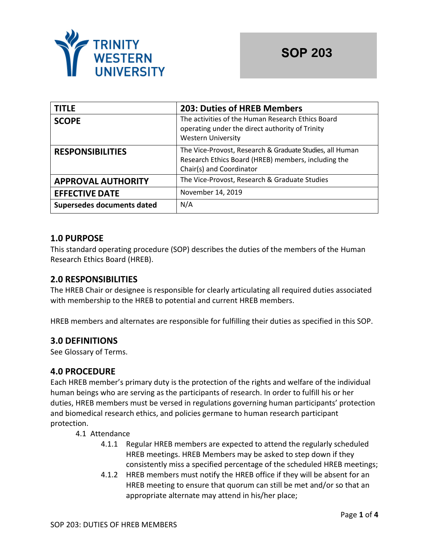

| <b>TITLE</b>               | <b>203: Duties of HREB Members</b>                                                                                                          |
|----------------------------|---------------------------------------------------------------------------------------------------------------------------------------------|
| <b>SCOPE</b>               | The activities of the Human Research Ethics Board<br>operating under the direct authority of Trinity<br><b>Western University</b>           |
| <b>RESPONSIBILITIES</b>    | The Vice-Provost, Research & Graduate Studies, all Human<br>Research Ethics Board (HREB) members, including the<br>Chair(s) and Coordinator |
| <b>APPROVAL AUTHORITY</b>  | The Vice-Provost, Research & Graduate Studies                                                                                               |
| <b>EFFECTIVE DATE</b>      | November 14, 2019                                                                                                                           |
| Supersedes documents dated | N/A                                                                                                                                         |

# **1.0 PURPOSE**

This standard operating procedure (SOP) describes the duties of the members of the Human Research Ethics Board (HREB).

# **2.0 RESPONSIBILITIES**

The HREB Chair or designee is responsible for clearly articulating all required duties associated with membership to the HREB to potential and current HREB members.

HREB members and alternates are responsible for fulfilling their duties as specified in this SOP.

# **3.0 DEFINITIONS**

See Glossary of Terms.

# **4.0 PROCEDURE**

Each HREB member's primary duty is the protection of the rights and welfare of the individual human beings who are serving as the participants of research. In order to fulfill his or her duties, HREB members must be versed in regulations governing human participants' protection and biomedical research ethics, and policies germane to human research participant protection.

- 4.1 Attendance
	- 4.1.1 Regular HREB members are expected to attend the regularly scheduled HREB meetings. HREB Members may be asked to step down if they consistently miss a specified percentage of the scheduled HREB meetings;
	- 4.1.2 HREB members must notify the HREB office if they will be absent for an HREB meeting to ensure that quorum can still be met and/or so that an appropriate alternate may attend in his/her place;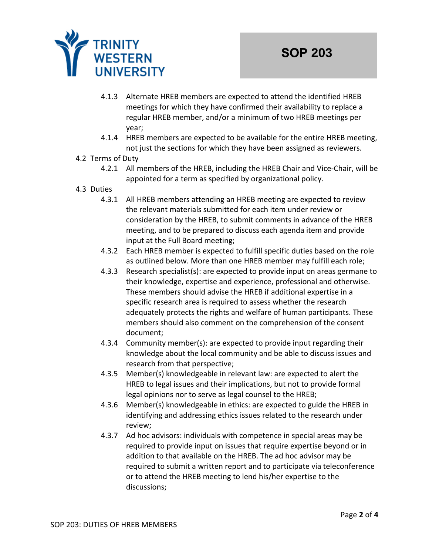

- 4.1.3 Alternate HREB members are expected to attend the identified HREB meetings for which they have confirmed their availability to replace a regular HREB member, and/or a minimum of two HREB meetings per year;
- 4.1.4 HREB members are expected to be available for the entire HREB meeting, not just the sections for which they have been assigned as reviewers.

## 4.2 Terms of Duty

- 4.2.1 All members of the HREB, including the HREB Chair and Vice-Chair, will be appointed for a term as specified by organizational policy.
- 4.3 Duties
	- 4.3.1 All HREB members attending an HREB meeting are expected to review the relevant materials submitted for each item under review or consideration by the HREB, to submit comments in advance of the HREB meeting, and to be prepared to discuss each agenda item and provide input at the Full Board meeting;
	- 4.3.2 Each HREB member is expected to fulfill specific duties based on the role as outlined below. More than one HREB member may fulfill each role;
	- 4.3.3 Research specialist(s): are expected to provide input on areas germane to their knowledge, expertise and experience, professional and otherwise. These members should advise the HREB if additional expertise in a specific research area is required to assess whether the research adequately protects the rights and welfare of human participants. These members should also comment on the comprehension of the consent document;
	- 4.3.4 Community member(s): are expected to provide input regarding their knowledge about the local community and be able to discuss issues and research from that perspective;
	- 4.3.5 Member(s) knowledgeable in relevant law: are expected to alert the HREB to legal issues and their implications, but not to provide formal legal opinions nor to serve as legal counsel to the HREB;
	- 4.3.6 Member(s) knowledgeable in ethics: are expected to guide the HREB in identifying and addressing ethics issues related to the research under review;
	- 4.3.7 Ad hoc advisors: individuals with competence in special areas may be required to provide input on issues that require expertise beyond or in addition to that available on the HREB. The ad hoc advisor may be required to submit a written report and to participate via teleconference or to attend the HREB meeting to lend his/her expertise to the discussions;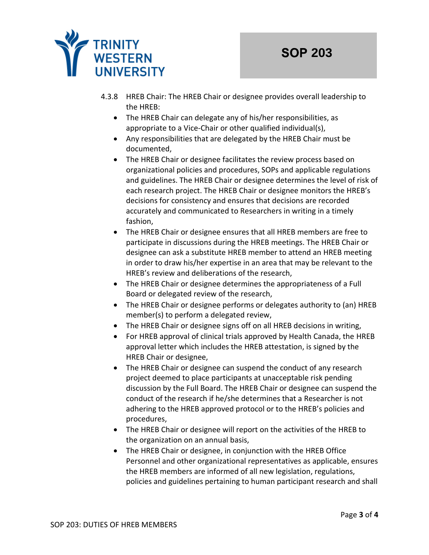

- 4.3.8 HREB Chair: The HREB Chair or designee provides overall leadership to the HREB:
	- The HREB Chair can delegate any of his/her responsibilities, as appropriate to a Vice-Chair or other qualified individual(s),
	- Any responsibilities that are delegated by the HREB Chair must be documented,
	- The HREB Chair or designee facilitates the review process based on organizational policies and procedures, SOPs and applicable regulations and guidelines. The HREB Chair or designee determines the level of risk of each research project. The HREB Chair or designee monitors the HREB's decisions for consistency and ensures that decisions are recorded accurately and communicated to Researchers in writing in a timely fashion,
	- The HREB Chair or designee ensures that all HREB members are free to participate in discussions during the HREB meetings. The HREB Chair or designee can ask a substitute HREB member to attend an HREB meeting in order to draw his/her expertise in an area that may be relevant to the HREB's review and deliberations of the research,
	- The HREB Chair or designee determines the appropriateness of a Full Board or delegated review of the research,
	- The HREB Chair or designee performs or delegates authority to (an) HREB member(s) to perform a delegated review,
	- The HREB Chair or designee signs off on all HREB decisions in writing,
	- For HREB approval of clinical trials approved by Health Canada, the HREB approval letter which includes the HREB attestation, is signed by the HREB Chair or designee,
	- The HREB Chair or designee can suspend the conduct of any research project deemed to place participants at unacceptable risk pending discussion by the Full Board. The HREB Chair or designee can suspend the conduct of the research if he/she determines that a Researcher is not adhering to the HREB approved protocol or to the HREB's policies and procedures,
	- The HREB Chair or designee will report on the activities of the HREB to the organization on an annual basis,
	- The HREB Chair or designee, in conjunction with the HREB Office Personnel and other organizational representatives as applicable, ensures the HREB members are informed of all new legislation, regulations, policies and guidelines pertaining to human participant research and shall